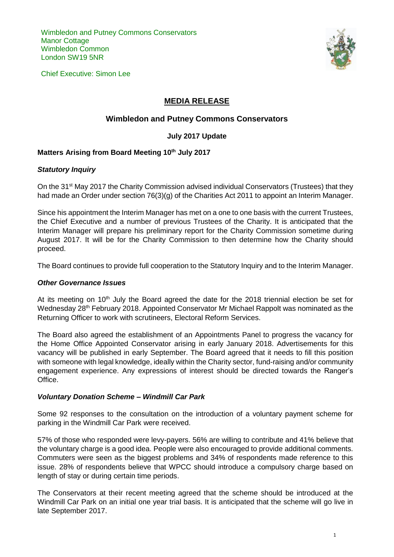Wimbledon and Putney Commons Conservators **Manor Cottage** Wimbledon Common London SW19 5NR

Chief Executive: Simon Lee



# **MEDIA RELEASE**

# **Wimbledon and Putney Commons Conservators**

## **July 2017 Update**

## **Matters Arising from Board Meeting 10th July 2017**

#### *Statutory Inquiry*

On the 31<sup>st</sup> May 2017 the Charity Commission advised individual Conservators (Trustees) that they had made an Order under section 76(3)(g) of the Charities Act 2011 to appoint an Interim Manager.

Since his appointment the Interim Manager has met on a one to one basis with the current Trustees, the Chief Executive and a number of previous Trustees of the Charity. It is anticipated that the Interim Manager will prepare his preliminary report for the Charity Commission sometime during August 2017. It will be for the Charity Commission to then determine how the Charity should proceed.

The Board continues to provide full cooperation to the Statutory Inquiry and to the Interim Manager.

#### *Other Governance Issues*

At its meeting on  $10<sup>th</sup>$  July the Board agreed the date for the 2018 triennial election be set for Wednesday 28<sup>th</sup> February 2018. Appointed Conservator Mr Michael Rappolt was nominated as the Returning Officer to work with scrutineers, Electoral Reform Services.

The Board also agreed the establishment of an Appointments Panel to progress the vacancy for the Home Office Appointed Conservator arising in early January 2018. Advertisements for this vacancy will be published in early September. The Board agreed that it needs to fill this position with someone with legal knowledge, ideally within the Charity sector, fund-raising and/or community engagement experience. Any expressions of interest should be directed towards the Ranger's Office.

### *Voluntary Donation Scheme – Windmill Car Park*

Some 92 responses to the consultation on the introduction of a voluntary payment scheme for parking in the Windmill Car Park were received.

57% of those who responded were levy-payers. 56% are willing to contribute and 41% believe that the voluntary charge is a good idea. People were also encouraged to provide additional comments. Commuters were seen as the biggest problems and 34% of respondents made reference to this issue. 28% of respondents believe that WPCC should introduce a compulsory charge based on length of stay or during certain time periods.

The Conservators at their recent meeting agreed that the scheme should be introduced at the Windmill Car Park on an initial one year trial basis. It is anticipated that the scheme will go live in late September 2017.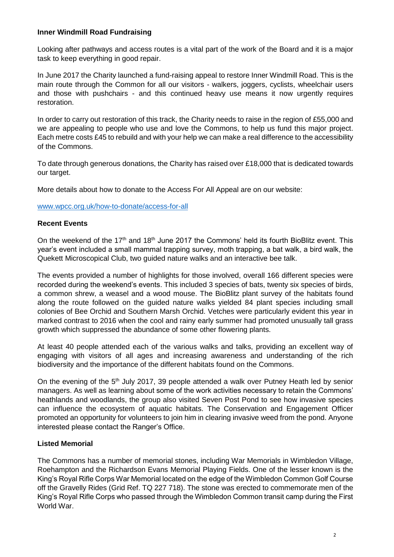## **Inner Windmill Road Fundraising**

Looking after pathways and access routes is a vital part of the work of the Board and it is a major task to keep everything in good repair.

In June 2017 the Charity launched a fund-raising appeal to restore Inner Windmill Road. This is the main route through the Common for all our visitors - walkers, joggers, cyclists, wheelchair users and those with pushchairs - and this continued heavy use means it now urgently requires restoration.

In order to carry out restoration of this track, the Charity needs to raise in the region of £55,000 and we are appealing to people who use and love the Commons, to help us fund this major project. Each metre costs £45 to rebuild and with your help we can make a real difference to the accessibility of the Commons.

To date through generous donations, the Charity has raised over £18,000 that is dedicated towards our target.

More details about how to donate to the Access For All Appeal are on our website:

[www.wpcc.org.uk/how-to-donate/access-for-all](http://www.wpcc.org.uk/how-to-donate/access-for-all)

### **Recent Events**

On the weekend of the 17<sup>th</sup> and 18<sup>th</sup> June 2017 the Commons' held its fourth BioBlitz event. This year's event included a small mammal trapping survey, moth trapping, a bat walk, a bird walk, the Quekett Microscopical Club, two guided nature walks and an interactive bee talk.

The events provided a number of highlights for those involved, overall 166 different species were recorded during the weekend's events. This included 3 species of bats, twenty six species of birds, a common shrew, a weasel and a wood mouse. The BioBlitz plant survey of the habitats found along the route followed on the guided nature walks yielded 84 plant species including small colonies of Bee Orchid and Southern Marsh Orchid. Vetches were particularly evident this year in marked contrast to 2016 when the cool and rainy early summer had promoted unusually tall grass growth which suppressed the abundance of some other flowering plants.

At least 40 people attended each of the various walks and talks, providing an excellent way of engaging with visitors of all ages and increasing awareness and understanding of the rich biodiversity and the importance of the different habitats found on the Commons.

On the evening of the 5<sup>th</sup> July 2017, 39 people attended a walk over Putney Heath led by senior managers. As well as learning about some of the work activities necessary to retain the Commons' heathlands and woodlands, the group also visited Seven Post Pond to see how invasive species can influence the ecosystem of aquatic habitats. The Conservation and Engagement Officer promoted an opportunity for volunteers to join him in clearing invasive weed from the pond. Anyone interested please contact the Ranger's Office.

### **Listed Memorial**

The Commons has a number of memorial stones, including War Memorials in Wimbledon Village, Roehampton and the Richardson Evans Memorial Playing Fields. One of the lesser known is the King's Royal Rifle Corps War Memorial located on the edge of the Wimbledon Common Golf Course off the Gravelly Rides (Grid Ref. TQ 227 718). The stone was erected to commemorate men of the King's Royal Rifle Corps who passed through the Wimbledon Common transit camp during the First World War.